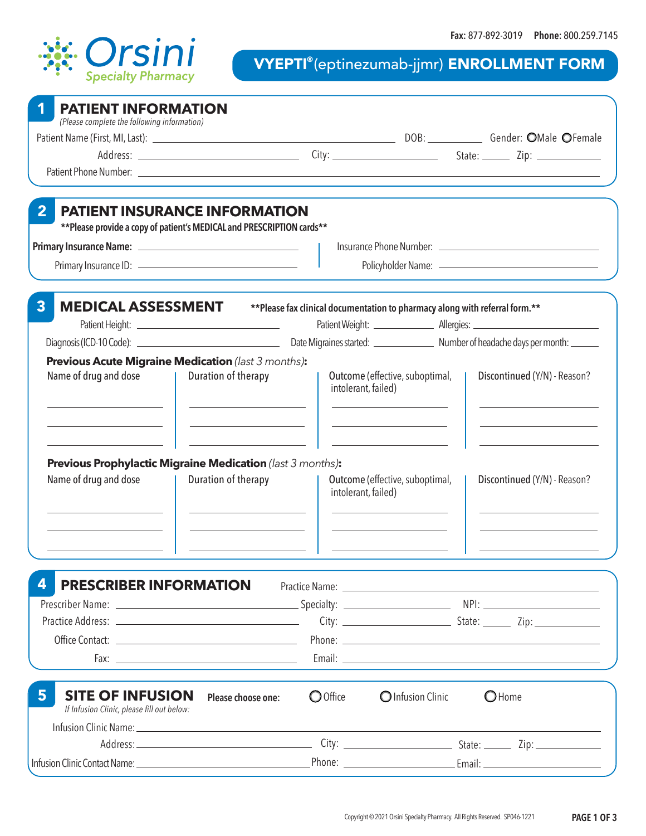

| <b>PATIENT INFORMATION</b><br>(Please complete the following information)                                      |                                                                                                 |                     |                                                                                      |                                                                                        |
|----------------------------------------------------------------------------------------------------------------|-------------------------------------------------------------------------------------------------|---------------------|--------------------------------------------------------------------------------------|----------------------------------------------------------------------------------------|
|                                                                                                                |                                                                                                 |                     |                                                                                      | Patient Name (First, MI, Last): 1990. [18] DOB: Cambridge Gender: OMale OFemale        |
|                                                                                                                |                                                                                                 |                     |                                                                                      |                                                                                        |
|                                                                                                                |                                                                                                 |                     |                                                                                      |                                                                                        |
| $\overline{2}$                                                                                                 | <b>PATIENT INSURANCE INFORMATION</b>                                                            |                     |                                                                                      |                                                                                        |
|                                                                                                                | ** Please provide a copy of patient's MEDICAL and PRESCRIPTION cards**                          |                     |                                                                                      |                                                                                        |
|                                                                                                                |                                                                                                 |                     |                                                                                      |                                                                                        |
|                                                                                                                |                                                                                                 |                     |                                                                                      |                                                                                        |
| 3                                                                                                              | MEDICAL ASSESSMENT ** Please fax clinical documentation to pharmacy along with referral form.** |                     |                                                                                      |                                                                                        |
|                                                                                                                |                                                                                                 |                     |                                                                                      |                                                                                        |
|                                                                                                                |                                                                                                 |                     |                                                                                      |                                                                                        |
| <b>Previous Acute Migraine Medication</b> (last 3 months):<br>Name of drug and dose                            | Duration of therapy                                                                             | intolerant, failed) | Outcome (effective, suboptimal,                                                      | Discontinued (Y/N) - Reason?                                                           |
| <b>Previous Prophylactic Migraine Medication</b> (last 3 months):<br>Name of drug and dose                     | Duration of therapy                                                                             | intolerant, failed) | Outcome (effective, suboptimal,<br><u> 1980 - Johann Barbara, martxa alemaniar a</u> | Discontinued (Y/N) - Reason?                                                           |
| <b>PRESCRIBER INFORMATION</b>                                                                                  |                                                                                                 |                     |                                                                                      |                                                                                        |
|                                                                                                                |                                                                                                 |                     |                                                                                      |                                                                                        |
| Practice Address: 2008 and 2008 and 2008 and 2008 and 2008 and 2008 and 2008 and 2008 and 2008 and 2008 and 20 |                                                                                                 |                     |                                                                                      | City: <u>______________________________</u> State: _________ Zip: ____________________ |
|                                                                                                                |                                                                                                 |                     |                                                                                      | Phone: <u>Andrea Communication and the communication</u>                               |
|                                                                                                                |                                                                                                 |                     |                                                                                      |                                                                                        |
| 5<br><b>SITE OF INFUSION</b><br>If Infusion Clinic, please fill out below:                                     | Please choose one:                                                                              | OOffice             | O Infusion Clinic                                                                    | $\bigcirc$ Home                                                                        |
| Infusion Clinic Name: 2008 Contract Contract Contract Contract Contract Contract Contract Contract Contract Co |                                                                                                 |                     |                                                                                      |                                                                                        |
|                                                                                                                |                                                                                                 |                     |                                                                                      |                                                                                        |
|                                                                                                                |                                                                                                 |                     |                                                                                      |                                                                                        |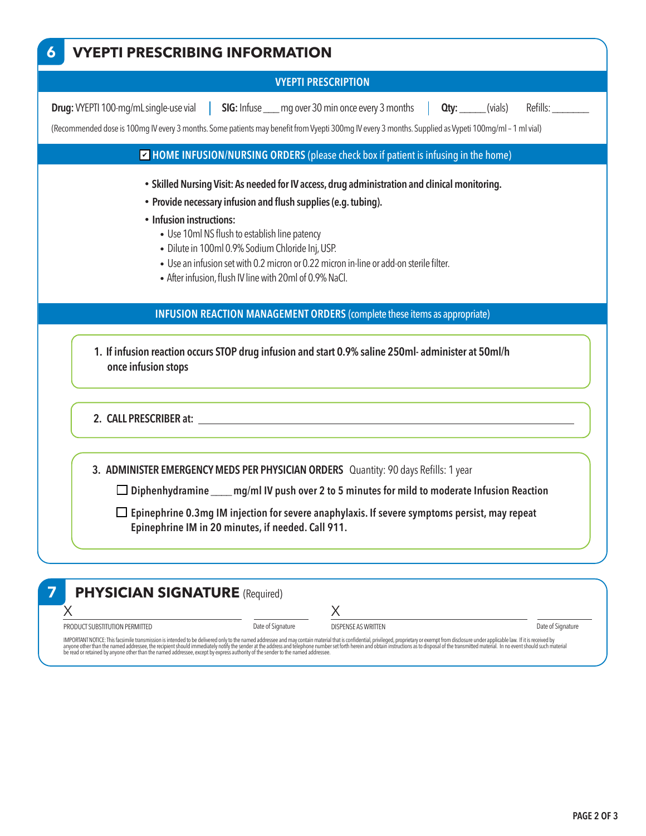| <b>VYEPTI PRESCRIPTION</b>                                                                                                                                                                                                                                                                                                                                                                                                                             |
|--------------------------------------------------------------------------------------------------------------------------------------------------------------------------------------------------------------------------------------------------------------------------------------------------------------------------------------------------------------------------------------------------------------------------------------------------------|
| Refills:<br><b>Drug:</b> WEPTI 100-mg/mLsingle-use vial<br><b>SIG:</b> Infuse _____ mg over 30 min once every 3 months<br>Qty:<br>(vials)<br>(Recommended dose is 100mg IV every 3 months. Some patients may benefit from Vyepti 300mg IV every 3 months. Supplied as Vypeti 100mg/ml - 1 ml vial)                                                                                                                                                     |
| M HOME INFUSION/NURSING ORDERS (please check box if patient is infusing in the home)                                                                                                                                                                                                                                                                                                                                                                   |
| • Skilled Nursing Visit: As needed for IV access, drug administration and clinical monitoring.<br>• Provide necessary infusion and flush supplies (e.g. tubing).<br>• Infusion instructions:<br>• Use 10ml NS flush to establish line patency<br>· Dilute in 100ml 0.9% Sodium Chloride Inj, USP.<br>• Use an infusion set with 0.2 micron or 0.22 micron in-line or add-on sterile filter.<br>• After infusion, flush IV line with 20ml of 0.9% NaCl. |
|                                                                                                                                                                                                                                                                                                                                                                                                                                                        |
| <b>INFUSION REACTION MANAGEMENT ORDERS</b> (complete these items as appropriate)                                                                                                                                                                                                                                                                                                                                                                       |
| 1. If infusion reaction occurs STOP drug infusion and start 0.9% saline 250ml-administer at 50ml/h<br>once infusion stops                                                                                                                                                                                                                                                                                                                              |
| 2. CALL PRESCRIBER at: the contract of the contract of the contract of the contract of the contract of the contract of the contract of the contract of the contract of the contract of the contract of the contract of the con                                                                                                                                                                                                                         |
| 3. ADMINISTER EMERGENCY MEDS PER PHYSICIAN ORDERS Quantity: 90 days Refills: 1 year                                                                                                                                                                                                                                                                                                                                                                    |
| $\Box$ Diphenhydramine $\_\_\_$ mg/ml IV push over 2 to 5 minutes for mild to moderate Infusion Reaction                                                                                                                                                                                                                                                                                                                                               |

X

PRODUCT SUBSTITUTION PERMITTED

Date of Signature

DISPENSE AS WRITTEN DATE: DESPENSE AS WRITTEN

IMPORTANT NOTICE: This facsimile transmission is intended to be delivered only to the named addressee and may contain material that is confidential, privileged, proprietary or exempt from disclosure under applicable law. I

X